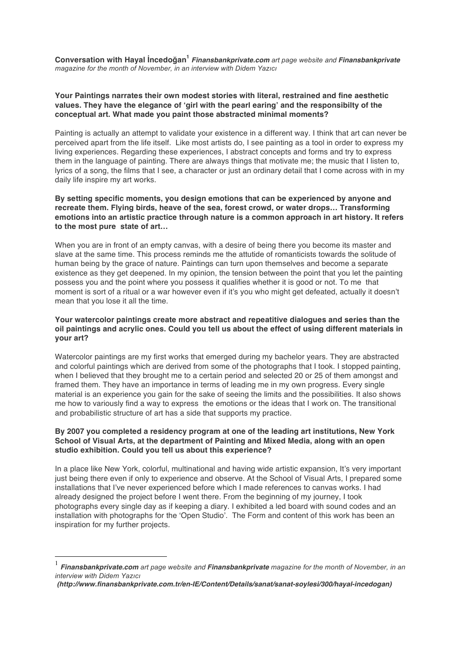**Conversation with Hayal İncedoğan<sup>1</sup>** *Finansbankprivate.com art page website and Finansbankprivate magazine for the month of November, in an interview with Didem Yazıcı*

# **Your Paintings narrates their own modest stories with literal, restrained and fine aesthetic values. They have the elegance of 'girl with the pearl earing' and the responsibilty of the conceptual art. What made you paint those abstracted minimal moments?**

Painting is actually an attempt to validate your existence in a different way. I think that art can never be perceived apart from the life itself. Like most artists do, I see painting as a tool in order to express my living experiences. Regarding these experiences, I abstract concepts and forms and try to express them in the language of painting. There are always things that motivate me; the music that I listen to, lyrics of a song, the films that I see, a character or just an ordinary detail that I come across with in my daily life inspire my art works.

# **By setting specific moments, you design emotions that can be experienced by anyone and recreate them. Flying birds, heave of the sea, forest crowd, or water drops… Transforming emotions into an artistic practice through nature is a common approach in art history. It refers to the most pure state of art…**

When you are in front of an empty canvas, with a desire of being there you become its master and slave at the same time. This process reminds me the attutide of romanticists towards the solitude of human being by the grace of nature. Paintings can turn upon themselves and become a separate existence as they get deepened. In my opinion, the tension between the point that you let the painting possess you and the point where you possess it qualifies whether it is good or not. To me that moment is sort of a ritual or a war however even if it's you who might get defeated, actually it doesn't mean that you lose it all the time.

# **Your watercolor paintings create more abstract and repeatitive dialogues and series than the oil paintings and acrylic ones. Could you tell us about the effect of using different materials in your art?**

Watercolor paintings are my first works that emerged during my bachelor years. They are abstracted and colorful paintings which are derived from some of the photographs that I took. I stopped painting, when I believed that they brought me to a certain period and selected 20 or 25 of them amongst and framed them. They have an importance in terms of leading me in my own progress. Every single material is an experience you gain for the sake of seeing the limits and the possibilities. It also shows me how to variously find a way to express the emotions or the ideas that I work on. The transitional and probabilistic structure of art has a side that supports my practice.

# **By 2007 you completed a residency program at one of the leading art institutions, New York School of Visual Arts, at the department of Painting and Mixed Media, along with an open studio exhibition. Could you tell us about this experience?**

In a place like New York, colorful, multinational and having wide artistic expansion, It's very important just being there even if only to experience and observe. At the School of Visual Arts, I prepared some installations that I've never experienced before which I made references to canvas works. I had already designed the project before I went there. From the beginning of my journey, I took photographs every single day as if keeping a diary. I exhibited a led board with sound codes and an installation with photographs for the 'Open Studio'. The Form and content of this work has been an inspiration for my further projects.

 <sup>1</sup> *Finansbankprivate.com art page website and Finansbankprivate magazine for the month of November, in an interview with Didem Yazıcı*

*<sup>(</sup>http://www.finansbankprivate.com.tr/en-IE/Content/Details/sanat/sanat-soylesi/300/hayal-incedogan)*